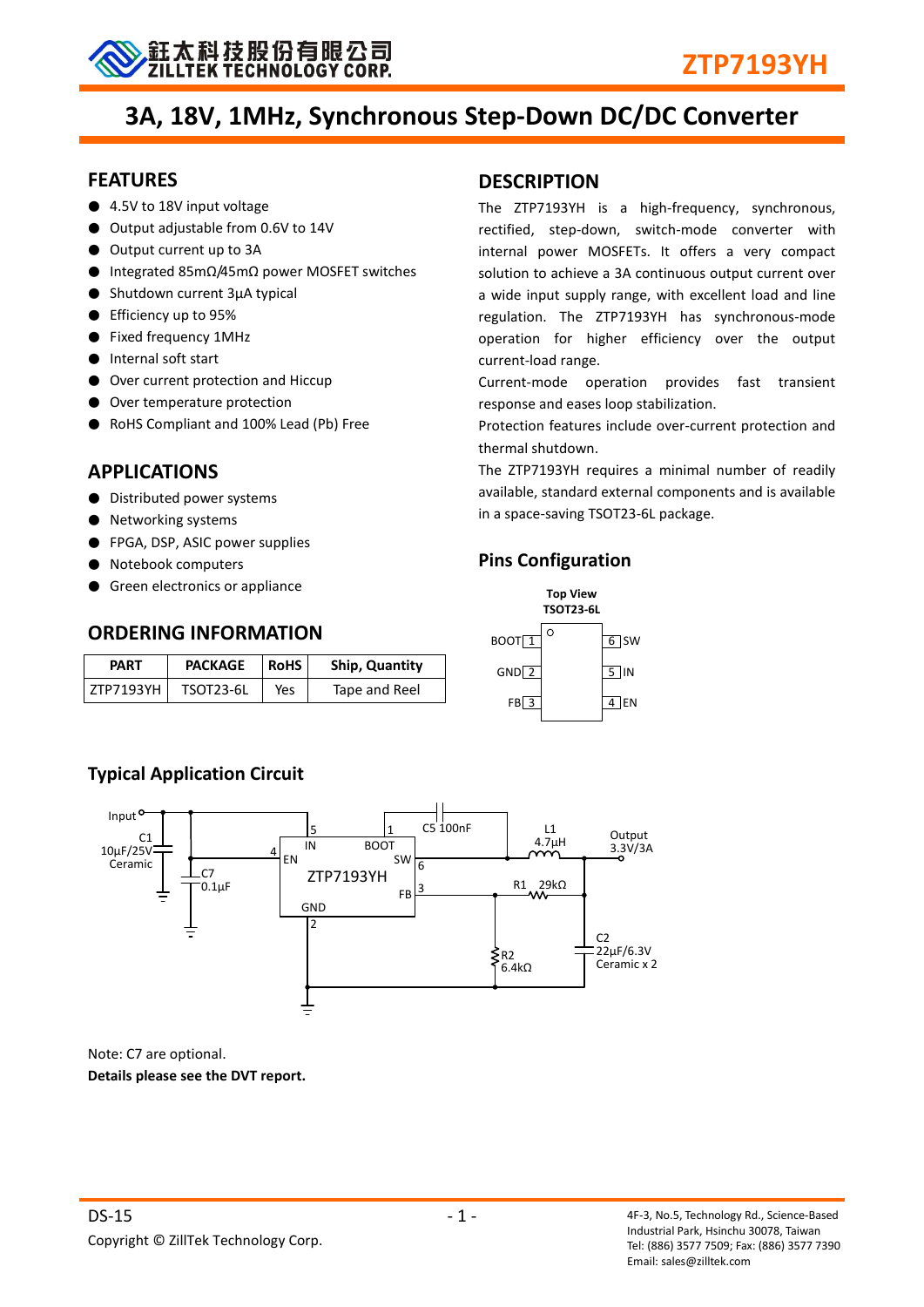

## **3A, 18V, 1MHz, Synchronous Step-Down DC/DC Converter**

## **FEATURES**

- 4.5V to 18V input voltage
- Output adjustable from 0.6V to 14V
- Output current up to 3A
- Integrated 85mΩ/45mΩ power MOSFET switches
- Shutdown current 3μA typical
- Efficiency up to 95%
- Fixed frequency 1MHz
- Internal soft start
- Over current protection and Hiccup
- Over temperature protection
- RoHS Compliant and 100% Lead (Pb) Free

## **APPLICATIONS**

- Distributed power systems
- Networking systems
- FPGA, DSP, ASIC power supplies
- Notebook computers
- Green electronics or appliance

## **ORDERING INFORMATION**

| PART      | <b>PACKAGE</b> | <b>RoHS</b> | Ship, Quantity |
|-----------|----------------|-------------|----------------|
| ZTP7193YH | TSOT23-6L      | Yes         | Tape and Reel  |

## **DESCRIPTION**

The ZTP7193YH is a high-frequency, synchronous, rectified, step-down, switch-mode converter with internal power MOSFETs. It offers a very compact solution to achieve a 3A continuous output current over a wide input supply range, with excellent load and line regulation. The ZTP7193YH has synchronous-mode operation for higher efficiency over the output current-load range.

Current-mode operation provides fast transient response and eases loop stabilization.

Protection features include over-current protection and thermal shutdown.

The ZTP7193YH requires a minimal number of readily available, standard external components and is available in a space-saving TSOT23-6L package.

## **Pins Configuration**



## **Typical Application Circuit**



Note: C7 are optional. **Details please see the DVT report.**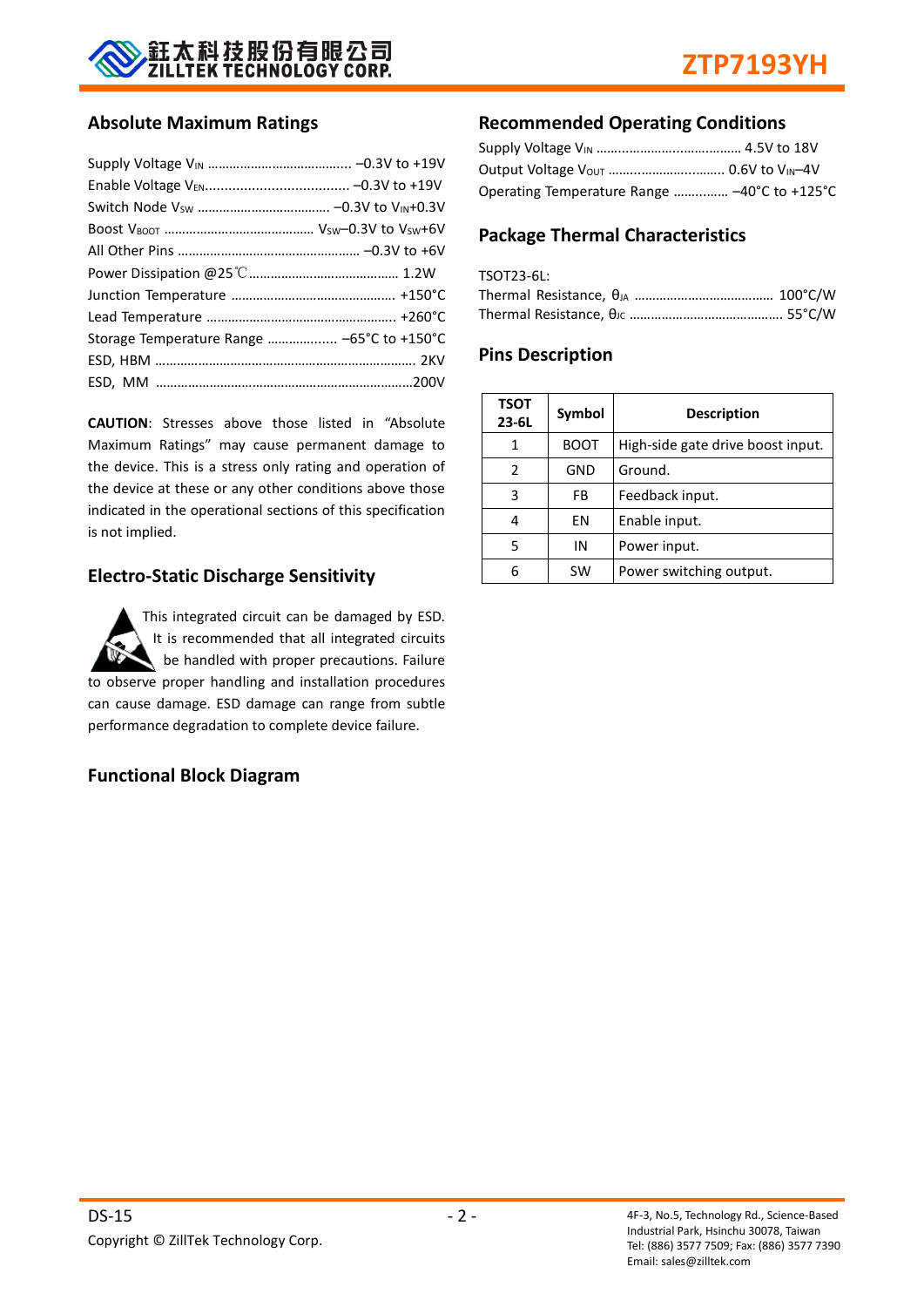

## **Absolute Maximum Ratings**

| Storage Temperature Range  -65°C to +150°C |  |
|--------------------------------------------|--|
|                                            |  |
|                                            |  |

**CAUTION**: Stresses above those listed in "Absolute Maximum Ratings" may cause permanent damage to the device. This is a stress only rating and operation of the device at these or any other conditions above those indicated in the operational sections of this specification is not implied.

## **Electro-Static Discharge Sensitivity**

This integrated circuit can be damaged by ESD. It is recommended that all integrated circuits be handled with proper precautions. Failure to observe proper handling and installation procedures can cause damage. ESD damage can range from subtle performance degradation to complete device failure.

## **Functional Block Diagram**

## **Recommended Operating Conditions**

| Operating Temperature Range  -40°C to +125°C |  |
|----------------------------------------------|--|

## **Package Thermal Characteristics**

| TSOT23-6L: |  |
|------------|--|
|            |  |
|            |  |

## **Pins Description**

| <b>TSOT</b><br>$23 - 6L$ | Symbol | <b>Description</b>                |
|--------------------------|--------|-----------------------------------|
|                          | BOOT   | High-side gate drive boost input. |
| 2                        | GND    | Ground.                           |
| 3                        | FB.    | Feedback input.                   |
|                          | ΕN     | Enable input.                     |
| 5                        | ΙN     | Power input.                      |
|                          | SW     | Power switching output.           |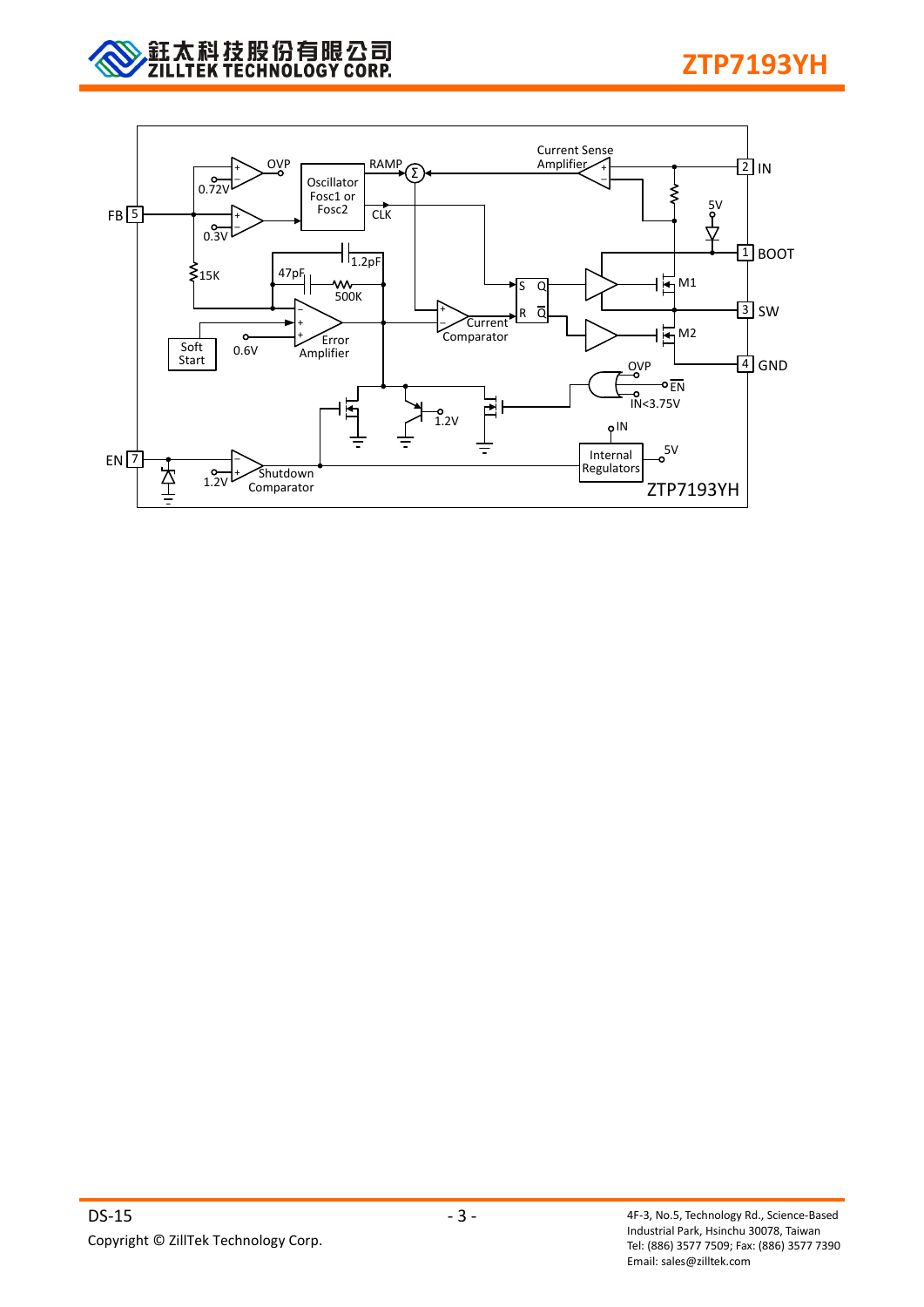

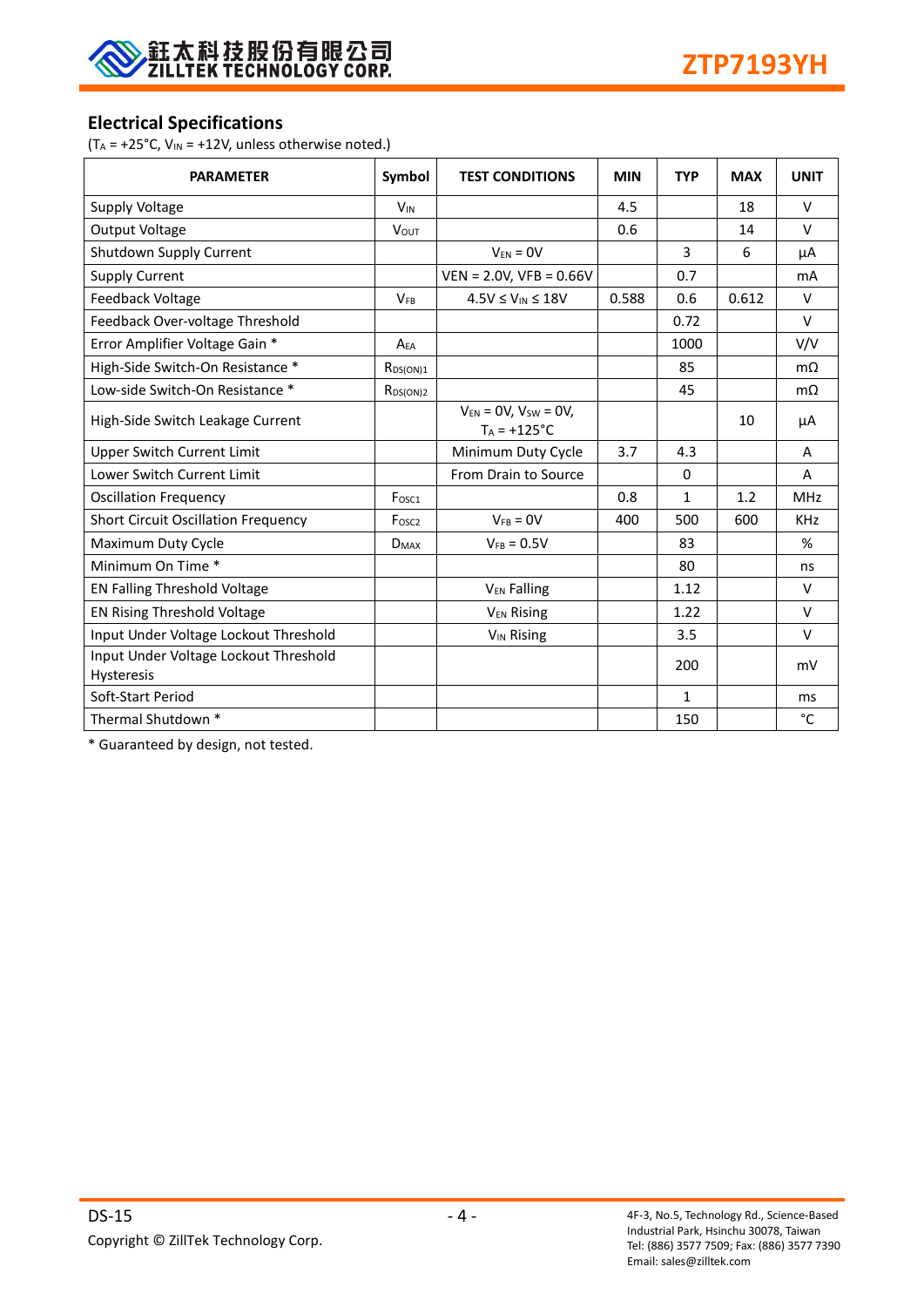

## **Electrical Specifications**

( $T_A = +25$ °C,  $V_{IN} = +12V$ , unless otherwise noted.)

| <b>PARAMETER</b>                                    | Symbol            | <b>TEST CONDITIONS</b>                         | <b>MIN</b> | <b>TYP</b>   | <b>MAX</b> | <b>UNIT</b> |
|-----------------------------------------------------|-------------------|------------------------------------------------|------------|--------------|------------|-------------|
| Supply Voltage                                      | $V_{IN}$          |                                                | 4.5        |              | 18         | $\vee$      |
| <b>Output Voltage</b>                               | <b>VOUT</b>       |                                                | 0.6        |              | 14         | $\vee$      |
| Shutdown Supply Current                             |                   | $V_{FN} = 0V$                                  |            | 3            | 6          | μA          |
| <b>Supply Current</b>                               |                   | $VEN = 2.0V$ , $VFB = 0.66V$                   |            | 0.7          |            | mA          |
| Feedback Voltage                                    | <b>VFR</b>        | $4.5V \leq V_{IN} \leq 18V$                    | 0.588      | 0.6          | 0.612      | $\vee$      |
| Feedback Over-voltage Threshold                     |                   |                                                |            | 0.72         |            | $\vee$      |
| Error Amplifier Voltage Gain *                      | $A_{FA}$          |                                                |            | 1000         |            | V/V         |
| High-Side Switch-On Resistance *                    | $R_{DS(ON)1}$     |                                                |            | 85           |            | $m\Omega$   |
| Low-side Switch-On Resistance *                     | $R_{DS(ON)2}$     |                                                |            | 45           |            | $m\Omega$   |
| High-Side Switch Leakage Current                    |                   | $V_{EN} = OV, V_{SW} = OV,$<br>$T_A = +125$ °C |            |              | 10         | μA          |
| <b>Upper Switch Current Limit</b>                   |                   | Minimum Duty Cycle                             | 3.7        | 4.3          |            | A           |
| <b>Lower Switch Current Limit</b>                   |                   | From Drain to Source                           |            | $\Omega$     |            | A           |
| <b>Oscillation Frequency</b>                        | Fosc1             |                                                | 0.8        | $\mathbf{1}$ | 1.2        | <b>MHz</b>  |
| <b>Short Circuit Oscillation Frequency</b>          | Fosc <sub>2</sub> | $V_{FB} = 0V$                                  | 400        | 500          | 600        | <b>KHz</b>  |
| Maximum Duty Cycle                                  | $D_{MAX}$         | $V_{FB} = 0.5V$                                |            | 83           |            | %           |
| Minimum On Time *                                   |                   |                                                |            | 80           |            | ns          |
| <b>EN Falling Threshold Voltage</b>                 |                   | <b>V<sub>EN</sub></b> Falling                  |            | 1.12         |            | $\vee$      |
| EN Rising Threshold Voltage                         |                   | V <sub>EN</sub> Rising                         |            | 1.22         |            | $\vee$      |
| Input Under Voltage Lockout Threshold               |                   | <b>V<sub>IN</sub></b> Rising                   |            | 3.5          |            | $\vee$      |
| Input Under Voltage Lockout Threshold<br>Hysteresis |                   |                                                |            | 200          |            | mV          |
| Soft-Start Period                                   |                   |                                                |            | $\mathbf{1}$ |            | ms          |
| Thermal Shutdown *                                  |                   |                                                |            | 150          |            | °C          |

\* Guaranteed by design, not tested.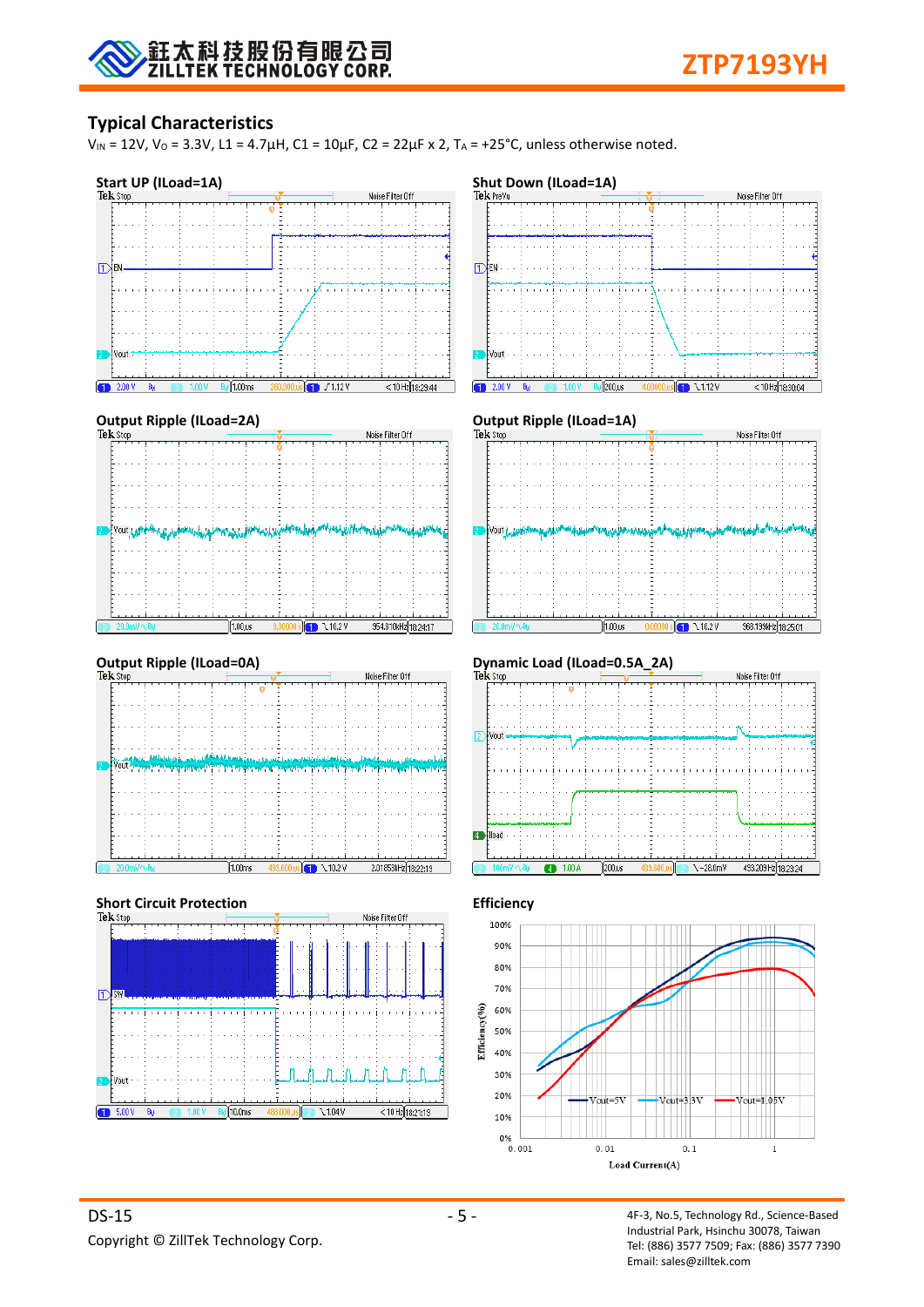

## **Typical Characteristics**

 $V_{IN}$  = 12V,  $V_0$  = 3.3V, L1 = 4.7μH, C1 = 10μF, C2 = 22μF x 2, T<sub>A</sub> = +25°C, unless otherwise noted.



alfo.oms

Л Φ ЛÀ n.

 $\overline{\phantom{0}1.04\,\mathrm{V}}$ 

 $D$ <sub>S</sub>W

Vout

 $\boxed{1}$  5.00 V

 $< 10$  Hz $(18.21.19$ 

70%

30%

20%

10% 0%  $0.001$ 

Efficiency(%) 60% 50% 40%

 $\sqrt{\text{out}}$ =1.053

 $\mathbf{1}$ 

 $T$ out= $3\sqrt{3}$ 

 $0.1$ 

 $V<sub>011</sub>$  $=5V$ 

 $0.01$ 

Load Current(A)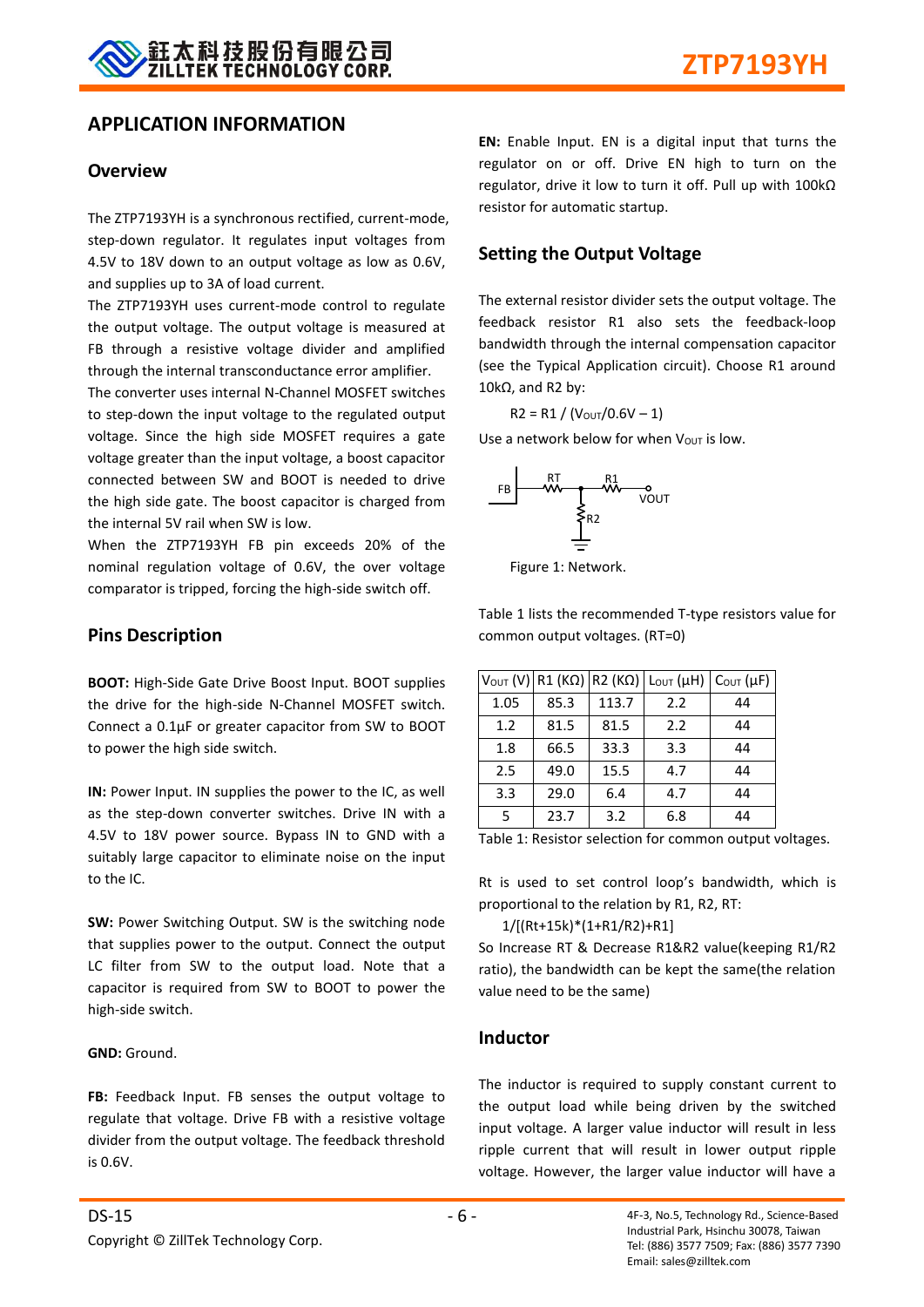## **APPLICATION INFORMATION**

### **Overview**

The ZTP7193YH is a synchronous rectified, current-mode, step-down regulator. It regulates input voltages from 4.5V to 18V down to an output voltage as low as 0.6V, and supplies up to 3A of load current.

The ZTP7193YH uses current-mode control to regulate the output voltage. The output voltage is measured at FB through a resistive voltage divider and amplified through the internal transconductance error amplifier.

The converter uses internal N-Channel MOSFET switches to step-down the input voltage to the regulated output voltage. Since the high side MOSFET requires a gate voltage greater than the input voltage, a boost capacitor connected between SW and BOOT is needed to drive the high side gate. The boost capacitor is charged from the internal 5V rail when SW is low.

When the ZTP7193YH FB pin exceeds 20% of the nominal regulation voltage of 0.6V, the over voltage comparator is tripped, forcing the high-side switch off.

## **Pins Description**

**BOOT:** High-Side Gate Drive Boost Input. BOOT supplies the drive for the high-side N-Channel MOSFET switch. Connect a 0.1μF or greater capacitor from SW to BOOT to power the high side switch.

**IN:** Power Input. IN supplies the power to the IC, as well as the step-down converter switches. Drive IN with a 4.5V to 18V power source. Bypass IN to GND with a suitably large capacitor to eliminate noise on the input to the IC.

**SW:** Power Switching Output. SW is the switching node that supplies power to the output. Connect the output LC filter from SW to the output load. Note that a capacitor is required from SW to BOOT to power the high-side switch.

#### **GND:** Ground.

FB: Feedback Input. FB senses the output voltage to regulate that voltage. Drive FB with a resistive voltage divider from the output voltage. The feedback threshold is 0.6V.

**EN:** Enable Input. EN is a digital input that turns the regulator on or off. Drive EN high to turn on the regulator, drive it low to turn it off. Pull up with 100kΩ resistor for automatic startup.

## **Setting the Output Voltage**

The external resistor divider sets the output voltage. The feedback resistor R1 also sets the feedback-loop bandwidth through the internal compensation capacitor (see the Typical Application circuit). Choose R1 around 10kΩ, and R2 by:

$$
R2 = R1 / (V_{\text{OUT}} / 0.6V - 1)
$$

Use a network below for when  $V_{\text{OUT}}$  is low.



Figure 1: Network.

Table 1 lists the recommended T-type resistors value for common output voltages. (RT=0)

|      |      |       | $V_{\text{OUT}} (V)$ R1 (KΩ) R2 (KΩ) Lout (μH) | $C_{\text{OUT}}(\mu F)$ |
|------|------|-------|------------------------------------------------|-------------------------|
| 1.05 | 85.3 | 113.7 | 2.2                                            | 44                      |
| 1.2  | 81.5 | 81.5  | 2.2                                            | 44                      |
| 1.8  | 66.5 | 33.3  | 3.3                                            | 44                      |
| 2.5  | 49.0 | 15.5  | 4.7                                            | 44                      |
| 3.3  | 29.0 | 6.4   | 4.7                                            | 44                      |
| 5    | 23.7 | 3.2   | 6.8                                            | 44                      |

Table 1: Resistor selection for common output voltages.

Rt is used to set control loop's bandwidth, which is proportional to the relation by R1, R2, RT:

1/[(Rt+15k)\*(1+R1/R2)+R1]

So Increase RT & Decrease R1&R2 value(keeping R1/R2 ratio), the bandwidth can be kept the same(the relation value need to be the same)

## **Inductor**

The inductor is required to supply constant current to the output load while being driven by the switched input voltage. A larger value inductor will result in less ripple current that will result in lower output ripple voltage. However, the larger value inductor will have a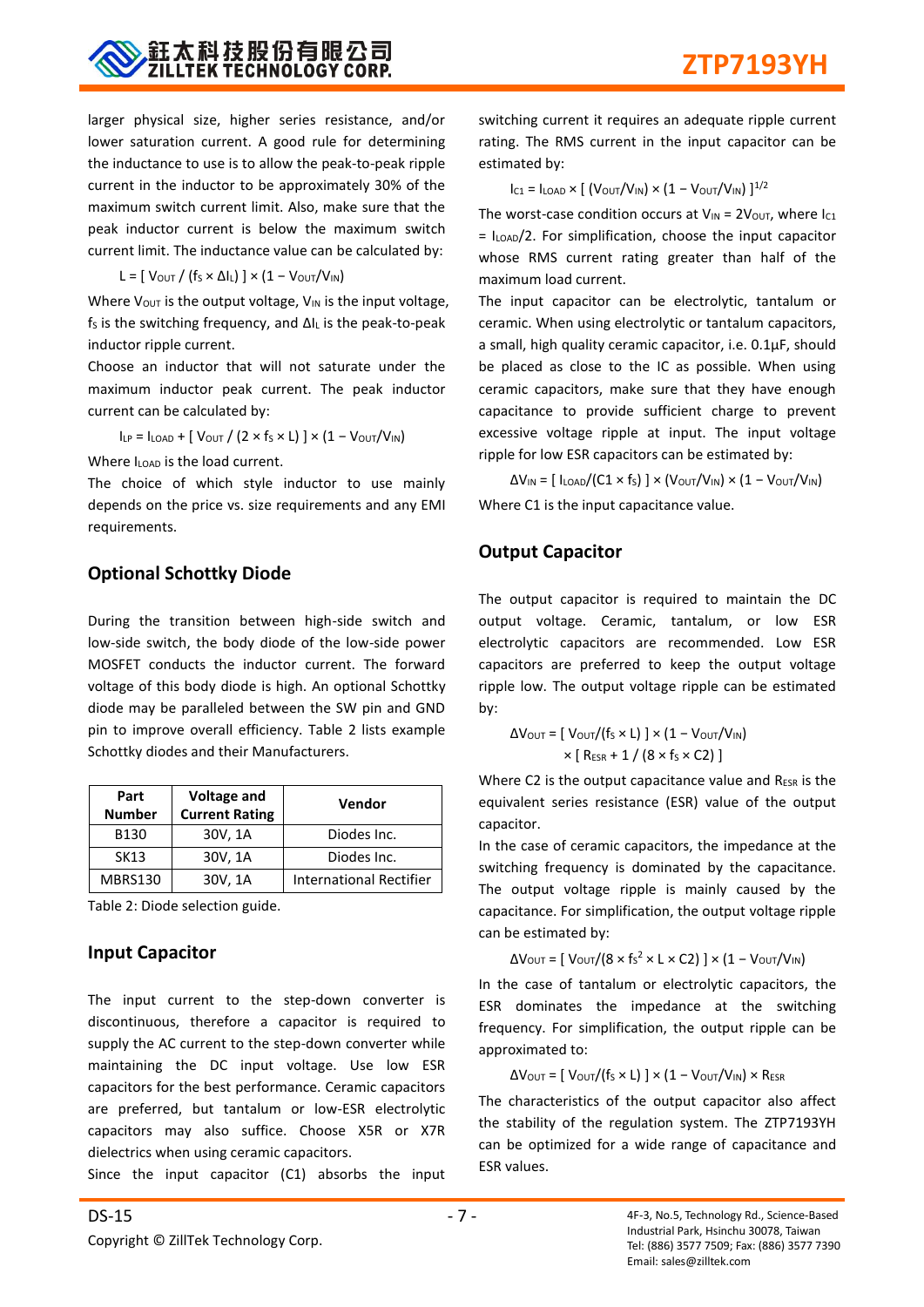

larger physical size, higher series resistance, and/or lower saturation current. A good rule for determining the inductance to use is to allow the peak-to-peak ripple current in the inductor to be approximately 30% of the maximum switch current limit. Also, make sure that the peak inductor current is below the maximum switch current limit. The inductance value can be calculated by:

$$
L = [ V_{\text{OUT}} / (f_{S} \times \Delta I_{L}) ] \times (1 - V_{\text{OUT}} / V_{\text{IN}})
$$

Where  $V_{\text{OUT}}$  is the output voltage,  $V_{\text{IN}}$  is the input voltage,  $f_S$  is the switching frequency, and  $\Delta I_L$  is the peak-to-peak inductor ripple current.

Choose an inductor that will not saturate under the maximum inductor peak current. The peak inductor current can be calculated by:

 $I_{LP} = I_{LOAD} + [V_{OUT} / (2 \times f_S \times L)] \times (1 - V_{OUT}/V_{IN})$ 

Where I<sub>LOAD</sub> is the load current.

The choice of which style inductor to use mainly depends on the price vs. size requirements and any EMI requirements.

## **Optional Schottky Diode**

During the transition between high-side switch and low-side switch, the body diode of the low-side power MOSFET conducts the inductor current. The forward voltage of this body diode is high. An optional Schottky diode may be paralleled between the SW pin and GND pin to improve overall efficiency. Table 2 lists example Schottky diodes and their Manufacturers.

| Part<br><b>Number</b> | <b>Voltage and</b><br><b>Current Rating</b> | Vendor                         |
|-----------------------|---------------------------------------------|--------------------------------|
| B130                  | 30V, 1A                                     | Diodes Inc.                    |
| <b>SK13</b>           | 30V, 1A                                     | Diodes Inc.                    |
| MBRS130               | 30V, 1A                                     | <b>International Rectifier</b> |

Table 2: Diode selection guide.

## **Input Capacitor**

The input current to the step-down converter is discontinuous, therefore a capacitor is required to supply the AC current to the step-down converter while maintaining the DC input voltage. Use low ESR capacitors for the best performance. Ceramic capacitors are preferred, but tantalum or low-ESR electrolytic capacitors may also suffice. Choose X5R or X7R dielectrics when using ceramic capacitors.

Since the input capacitor (C1) absorbs the input

switching current it requires an adequate ripple current rating. The RMS current in the input capacitor can be estimated by:

 $I_{C1} = I_{LOAD} \times [ (V_{OUT}/V_{IN}) \times (1 - V_{OUT}/V_{IN}) ]^{1/2}$ 

The worst-case condition occurs at  $V_{IN} = 2V_{OUT}$ , where  $I_{C1}$  $=$   $I_{\text{LOAD}}/2$ . For simplification, choose the input capacitor whose RMS current rating greater than half of the maximum load current.

The input capacitor can be electrolytic, tantalum or ceramic. When using electrolytic or tantalum capacitors, a small, high quality ceramic capacitor, i.e. 0.1μF, should be placed as close to the IC as possible. When using ceramic capacitors, make sure that they have enough capacitance to provide sufficient charge to prevent excessive voltage ripple at input. The input voltage ripple for low ESR capacitors can be estimated by:

 $\Delta V_{IN} = [ I_{LOAD}/(C1 \times f_S) ] \times (V_{OUT}/V_{IN}) \times (1 - V_{OUT}/V_{IN})$ Where C1 is the input capacitance value.

## **Output Capacitor**

The output capacitor is required to maintain the DC output voltage. Ceramic, tantalum, or low ESR electrolytic capacitors are recommended. Low ESR capacitors are preferred to keep the output voltage ripple low. The output voltage ripple can be estimated by:

$$
\Delta V_{\text{OUT}} = [\text{ V}_{\text{OUT}}/(\text{fs} \times \text{L})] \times (1 - \text{ V}_{\text{OUT}}/V_{\text{IN}})
$$

$$
\times [\text{ R}_{\text{ESR}} + 1 / (8 \times \text{fs} \times \text{C2})]
$$

Where C2 is the output capacitance value and RESR is the equivalent series resistance (ESR) value of the output capacitor.

In the case of ceramic capacitors, the impedance at the switching frequency is dominated by the capacitance. The output voltage ripple is mainly caused by the capacitance. For simplification, the output voltage ripple can be estimated by:

$$
\Delta V_{\text{OUT}} = [ V_{\text{OUT}} / (8 \times f_S^2 \times L \times C2) ] \times (1 - V_{\text{OUT}} / V_{\text{IN}})
$$

In the case of tantalum or electrolytic capacitors, the ESR dominates the impedance at the switching frequency. For simplification, the output ripple can be approximated to:

 $\Delta V_{\text{OUT}} = [\text{V}_{\text{OUT}}/(\text{f}_{\text{S}} \times \text{L})] \times (1 - \text{V}_{\text{OUT}}/V_{\text{IN}}) \times \text{R}_{\text{ESR}}$ 

The characteristics of the output capacitor also affect the stability of the regulation system. The ZTP7193YH can be optimized for a wide range of capacitance and ESR values.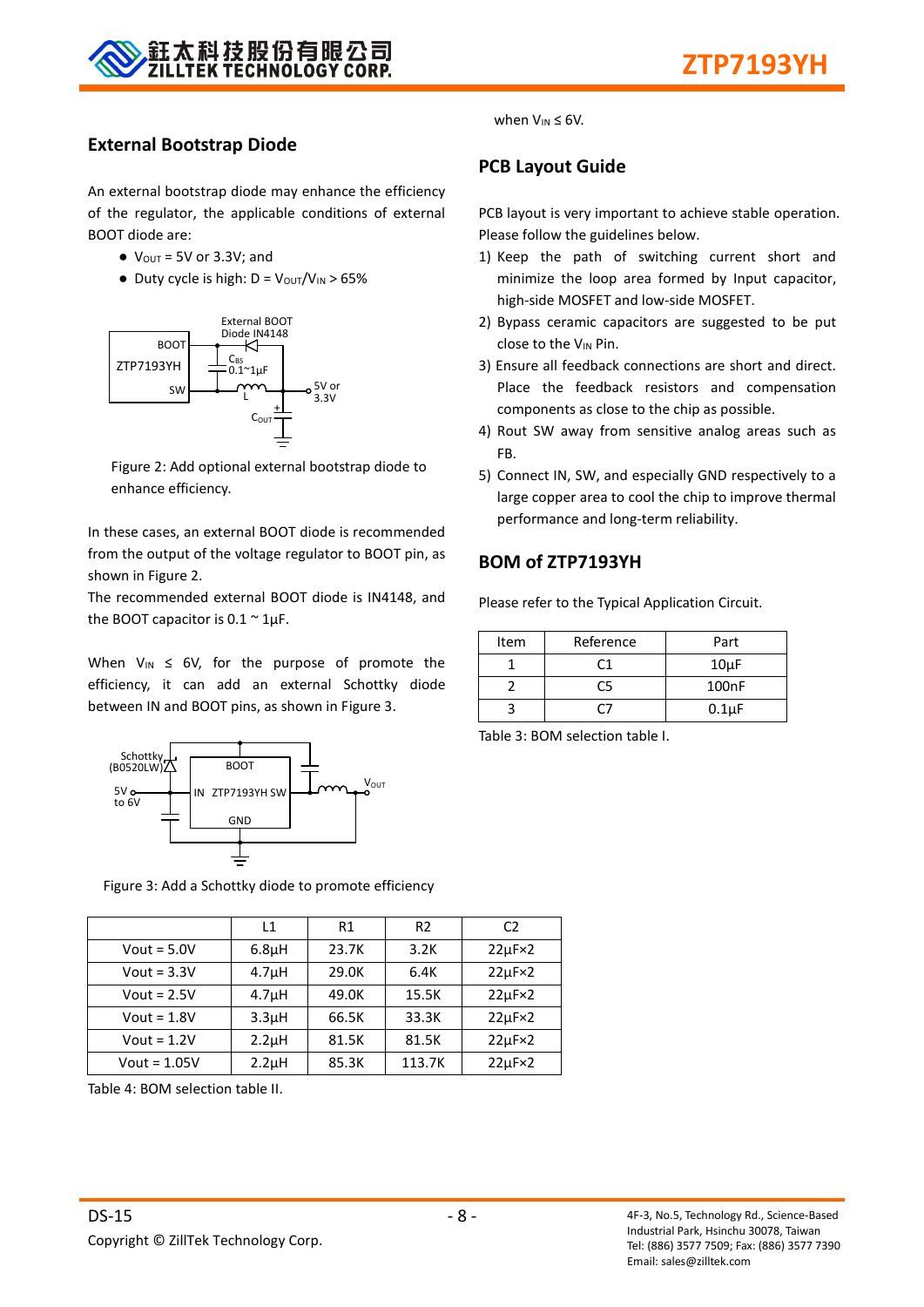

## **External Bootstrap Diode**

An external bootstrap diode may enhance the efficiency of the regulator, the applicable conditions of external BOOT diode are:



Figure 2: Add optional external bootstrap diode to enhance efficiency.

In these cases, an external BOOT diode is recommended from the output of the voltage regulator to BOOT pin, as shown in Figure 2.

The recommended external BOOT diode is IN4148, and the BOOT capacitor is  $0.1 \approx 1 \mu F$ .

When  $V_{IN} \leq 6V$ , for the purpose of promote the efficiency, it can add an external Schottky diode between IN and BOOT pins, as shown in Figure 3.



Figure 3: Add a Schottky diode to promote efficiency

|                | L1                 | R1    | R <sub>2</sub> | C <sub>2</sub>     |
|----------------|--------------------|-------|----------------|--------------------|
| Vout = $5.0V$  | 6.8 <sub>µ</sub> H | 23.7K | 3.2K           | $22\mu F \times 2$ |
| Vout = $3.3V$  | 4.7 <sub>µ</sub> H | 29.0K | 6.4K           | $22\mu F \times 2$ |
| Vout = $2.5V$  | 4.7 <sub>µ</sub> H | 49.0K | 15.5K          | $22\mu F \times 2$ |
| Vout = $1.8V$  | 3.3 <sub>µ</sub> H | 66.5K | 33.3K          | $22\mu F \times 2$ |
| Vout = $1.2V$  | $2.2\mu$ H         | 81.5K | 81.5K          | $22\mu F \times 2$ |
| $Vout = 1.05V$ | $2.2\mu$ H         | 85.3K | 113.7K         | $22\mu F \times 2$ |

Table 4: BOM selection table II.

# $\bullet$  V<sub>OUT</sub> = 5V or 3.3V; and  $\bullet$  Duty cycle is high: D = Vout/VIN > 65%

when  $V_{IN} \leq 6V$ .

## **PCB Layout Guide**

PCB layout is very important to achieve stable operation. Please follow the guidelines below.

- 1) Keep the path of switching current short and minimize the loop area formed by Input capacitor, high-side MOSFET and low-side MOSFET.
- 2) Bypass ceramic capacitors are suggested to be put close to the V<sub>IN</sub> Pin.
- 3) Ensure all feedback connections are short and direct. Place the feedback resistors and compensation components as close to the chip as possible.
- 4) Rout SW away from sensitive analog areas such as FB.
- 5) Connect IN, SW, and especially GND respectively to a large copper area to cool the chip to improve thermal performance and long-term reliability.

## **BOM of ZTP7193YH**

Please refer to the Typical Application Circuit.

| Item | Reference | Part       |
|------|-----------|------------|
|      | ิา        | $10\mu F$  |
|      | C5        | 100nF      |
|      |           | $0.1\mu F$ |

Table 3: BOM selection table I.